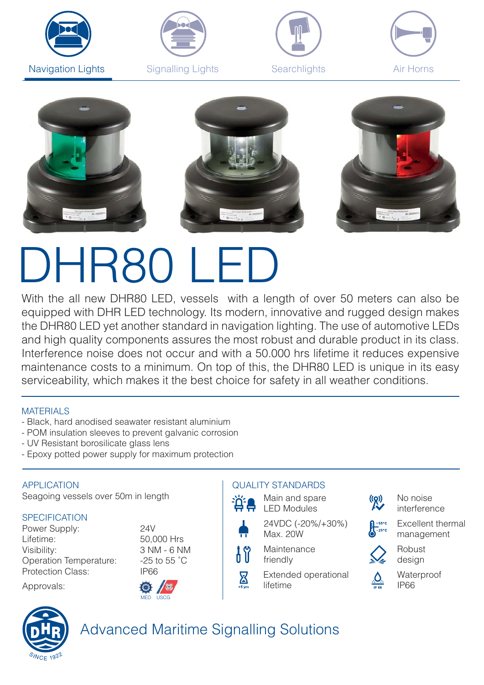













## DHR80 LFD

With the all new DHR80 LED, vessels with a length of over 50 meters can also be equipped with DHR LED technology. Its modern, innovative and rugged design makes the DHR80 LED yet another standard in navigation lighting. The use of automotive LEDs and high quality components assures the most robust and durable product in its class. Interference noise does not occur and with a 50.000 hrs lifetime it reduces expensive maintenance costs to a minimum. On top of this, the DHR80 LED is unique in its easy serviceability, which makes it the best choice for safety in all weather conditions.

#### **MATERIALS**

- Black, hard anodised seawater resistant aluminium
- POM insulation sleeves to prevent galvanic corrosion
- UV Resistant borosilicate glass lens
- Epoxy potted power supply for maximum protection

APPLICATION Seagoing vessels over 50m in length

### **SPECIFICATION**

Power Supply: 24V Lifetime: 50,000 Hrs Visibility: 3 NM - 6 NM Operation Temperature: -25 to 55 °C Protection Class: IP66

Approvals:



### QUALITY STANDARDS

Main and spare LED Modules

24VDC (-20%/+30%) Max. 20W

Maintenance 1 Y friendly

 $\mathbf Z$ 

- Extended operational lifetime
- No noise  $\binom{(\boldsymbol{\alpha})}{\boldsymbol{\alpha}}$ interference
	- Excellent thermal management



 $\frac{1}{2}$ 





## Advanced Maritime Signalling Solutions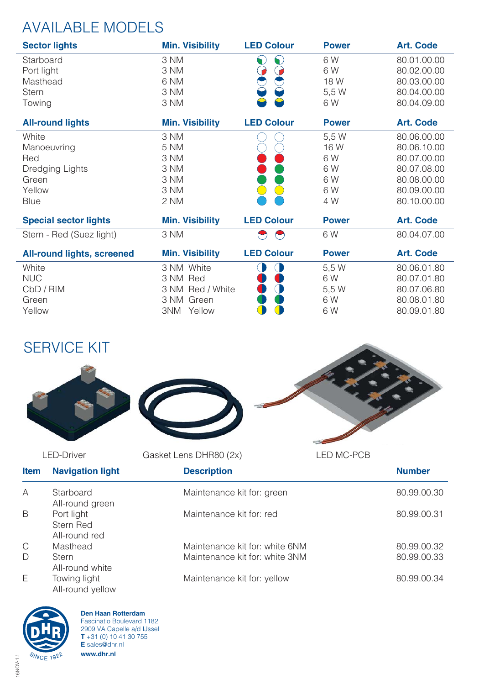## AVAILABLE MODELS

| <b>Sector lights</b>              | <b>Min. Visibility</b> | <b>LED Colour</b> | <b>Power</b> | <b>Art. Code</b> |
|-----------------------------------|------------------------|-------------------|--------------|------------------|
| Starboard                         | 3 NM                   | ♦<br>$\bullet$    | 6 W          | 80.01.00.00      |
| Port light                        | 3 NM                   | 3<br>0            | 6 W          | 80.02.00.00      |
| Masthead                          | 6 NM                   | ◓<br>$\bigodot$   | 18 W         | 80.03.00.00      |
| <b>Stern</b>                      | 3 NM                   |                   | 5,5 W        | 80.04.00.00      |
| Towing                            | 3 NM                   |                   | 6 W          | 80.04.09.00      |
| <b>All-round lights</b>           | <b>Min. Visibility</b> | <b>LED Colour</b> | <b>Power</b> | <b>Art. Code</b> |
| White                             | 3 NM                   |                   | 5,5 W        | 80.06.00.00      |
| Manoeuvring                       | 5 NM                   |                   | 16 W         | 80.06.10.00      |
| Red                               | 3 NM                   |                   | 6 W          | 80.07.00.00      |
| Dredging Lights                   | 3 NM                   |                   | 6 W          | 80.07.08.00      |
| Green                             | 3 NM                   |                   | 6 W          | 80.08.00.00      |
| Yellow                            | 3 NM                   |                   | 6 W          | 80.09.00.00      |
| <b>Blue</b>                       | 2 NM                   |                   | 4 W          | 80.10.00.00      |
| <b>Special sector lights</b>      | <b>Min. Visibility</b> | <b>LED Colour</b> | <b>Power</b> | <b>Art. Code</b> |
| Stern - Red (Suez light)          | 3 NM                   |                   | 6 W          | 80.04.07.00      |
| <b>All-round lights, screened</b> | <b>Min. Visibility</b> | <b>LED Colour</b> | <b>Power</b> | <b>Art. Code</b> |
| White                             | 3 NM White             |                   | 5,5 W        | 80.06.01.80      |
| <b>NUC</b>                        | 3 NM Red               |                   | 6 W          | 80.07.01.80      |
| CbD / RIM                         | 3 NM Red / White       | $\bigcirc$        | 5,5 W        | 80.07.06.80      |
| Green                             | 3 NM Green             |                   | 6 W          | 80.08.01.80      |
| Yellow                            | 3NM Yellow             |                   | 6 W          | 80.09.01.80      |

## SERVICE KIT



| <b>Item</b> | <b>Navigation light</b>                  | <b>Description</b>             | <b>Number</b> |
|-------------|------------------------------------------|--------------------------------|---------------|
| А           | Starboard<br>All-round green             | Maintenance kit for: green     | 80.99.00.30   |
| B           | Port light<br>Stern Red<br>All-round red | Maintenance kit for: red       | 80.99.00.31   |
| C           | Masthead                                 | Maintenance kit for: white 6NM | 80.99.00.32   |
| D           | <b>Stern</b><br>All-round white          | Maintenance kit for: white 3NM | 80.99.00.33   |
| Е           | Towing light<br>All-round yellow         | Maintenance kit for: yellow    | 80.99.00.34   |



**Den Haan Rotterdam** Fascinatio Boulevard 1182 2909 VA Capelle a/d IJssel **T** +31 (0) 10 41 30 755 **E** sales@dhr.nl **www.dhr.nl**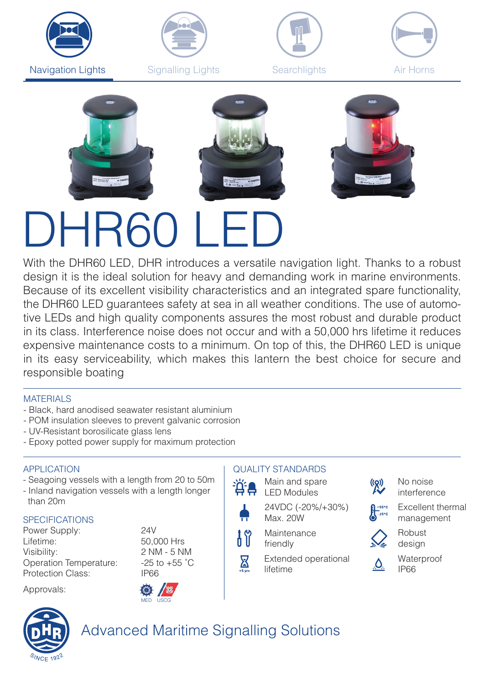













## DHR60 LI

With the DHR60 LED, DHR introduces a versatile navigation light. Thanks to a robust design it is the ideal solution for heavy and demanding work in marine environments. Because of its excellent visibility characteristics and an integrated spare functionality, the DHR60 LED guarantees safety at sea in all weather conditions. The use of automotive LEDs and high quality components assures the most robust and durable product in its class. Interference noise does not occur and with a 50,000 hrs lifetime it reduces expensive maintenance costs to a minimum. On top of this, the DHR60 LED is unique in its easy serviceability, which makes this lantern the best choice for secure and responsible boating

#### **MATFRIALS**

- Black, hard anodised seawater resistant aluminium
- POM insulation sleeves to prevent galvanic corrosion
- UV-Resistant borosilicate glass lens
- Epoxy potted power supply for maximum protection

### APPLICATION

- Seagoing vessels with a length from 20 to 50m
- Inland navigation vessels with a length longer than 20m

#### **SPECIFICATIONS**

Power Supply: 24V Lifetime: 50,000 Hrs Visibility: 2 NM - 5 NM Operation Temperature: -25 to +55 °C Protection Class: IP66

Approvals:



#### QUALITY STANDARDS

- Main and spare LED Modules
- 24VDC (-20%/+30%) Max. 20W



 $\mathbf Z$ 

- Extended operational lifetime
- ((၇))
	- No noise interference
	- Excellent thermal management
	- Robust design





## Advanced Maritime Signalling Solutions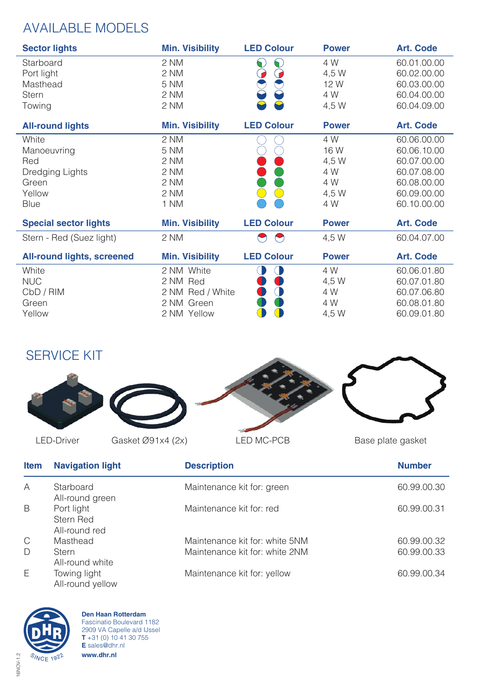## AVAILABLE MODELS

Í.

| <b>Sector lights</b>              | <b>Min. Visibility</b> | <b>LED Colour</b>                                | <b>Power</b> | <b>Art. Code</b> |
|-----------------------------------|------------------------|--------------------------------------------------|--------------|------------------|
| Starboard                         | 2 NM                   | $\bigcirc$<br>6                                  | 4 W          | 60.01.00.00      |
| Port light                        | 2 NM                   | $\bigodot$<br>$\bigodot$                         | 4,5 W        | 60.02.00.00      |
| Masthead                          | 5 NM                   | $\bullet$<br>$\bigodot$                          | 12 W         | 60.03.00.00      |
| <b>Stern</b>                      | 2 NM                   | $\Theta$<br>$\color{red} \blacklozenge$          | 4 W          | 60.04.00.00      |
| Towing                            | 2 NM                   | $\bullet$                                        | 4,5 W        | 60.04.09.00      |
| <b>All-round lights</b>           | <b>Min. Visibility</b> | <b>LED Colour</b>                                | <b>Power</b> | <b>Art. Code</b> |
| White                             | 2 NM                   |                                                  | 4 W          | 60.06.00.00      |
| Manoeuvring                       | 5 NM                   |                                                  | 16 W         | 60.06.10.00      |
| Red                               | 2 NM                   |                                                  | 4,5 W        | 60.07.00.00      |
| Dredging Lights                   | 2 NM                   |                                                  | 4 W          | 60.07.08.00      |
| Green                             | 2 NM                   |                                                  | 4 W          | 60.08.00.00      |
| Yellow                            | 2 NM                   | $\begin{array}{c} \square \end{array}$<br>$(\ )$ | 4,5 W        | 60.09.00.00      |
| <b>Blue</b>                       | 1 NM                   |                                                  | 4 W          | 60.10.00.00      |
| <b>Special sector lights</b>      | <b>Min. Visibility</b> | <b>LED Colour</b>                                | <b>Power</b> | <b>Art. Code</b> |
| Stern - Red (Suez light)          | 2 NM                   | $\bigodot$                                       | 4,5 W        | 60.04.07.00      |
| <b>All-round lights, screened</b> | <b>Min. Visibility</b> | <b>LED Colour</b>                                | <b>Power</b> | <b>Art. Code</b> |
| White                             | 2 NM White             | $\Box$<br>Œ                                      | 4 W          | 60.06.01.80      |
| <b>NUC</b>                        | 2 NM Red               | O                                                | 4,5 W        | 60.07.01.80      |
| CbD / RIM                         | 2 NM Red / White       | 0<br>$\bigcirc$                                  | 4 W          | 60.07.06.80      |
| Green                             | 2 NM Green             |                                                  | 4 W          | 60.08.01.80      |
| Yellow                            | 2 NM Yellow            | $\overline{\mathbf{C}}$                          | 4,5 W        | 60.09.01.80      |

## SERVICE KIT

| <b>LED-Driver</b> | Gasket Ø91x4 (2x) | LED MC-PCB | Base plate gasket |
|-------------------|-------------------|------------|-------------------|

 $\sim$ 

| <b>Item</b>  | <b>Navigation light</b>                  | <b>Description</b>             | <b>Number</b> |
|--------------|------------------------------------------|--------------------------------|---------------|
| A            | Starboard<br>All-round green             | Maintenance kit for: green     | 60.99.00.30   |
| B            | Port light<br>Stern Red<br>All-round red | Maintenance kit for: red       | 60.99.00.31   |
| $\mathsf{C}$ | Masthead                                 | Maintenance kit for: white 5NM | 60.99.00.32   |
| D            | Stern<br>All-round white                 | Maintenance kit for: white 2NM | 60.99.00.33   |
| Ε            | Towing light<br>All-round yellow         | Maintenance kit for: yellow    | 60.99.00.34   |



**Den Haan Rotterdam** Fascinatio Boulevard 1182 2909 VA Capelle a/d IJssel **T** +31 (0) 10 41 30 755 **E** sales@dhr.nl **www.dhr.nl**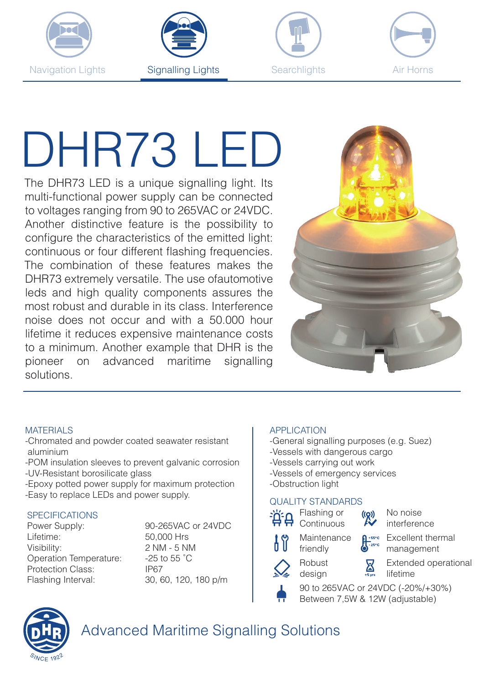







# DHR73 LED

The DHR73 LED is a unique signalling light. Its multi-functional power supply can be connected to voltages ranging from 90 to 265VAC or 24VDC. Another distinctive feature is the possibility to configure the characteristics of the emitted light: continuous or four different flashing frequencies. The combination of these features makes the DHR73 extremely versatile. The use ofautomotive leds and high quality components assures the most robust and durable in its class. Interference noise does not occur and with a 50.000 hour lifetime it reduces expensive maintenance costs to a minimum. Another example that DHR is the pioneer on advanced maritime signalling solutions.



#### MATERIALS

- -Chromated and powder coated seawater resistant aluminium
- -POM insulation sleeves to prevent galvanic corrosion -UV-Resistant borosilicate glass
- -Epoxy potted power supply for maximum protection -Easy to replace LEDs and power supply.

#### SPECIFICATIONS

Power Supply: 90-265VAC or 24VDC Lifetime: 50,000 Hrs Visibility: 2 NM - 5 NM Operation Temperature: -25 to 55 °C Protection Class: IP67 Flashing Interval: 30, 60, 120, 180 p/m

#### APPLICATION

- -General signalling purposes (e.g. Suez)
- -Vessels with dangerous cargo
- -Vessels carrying out work
- -Vessels of emergency services
- -Obstruction light

#### QUALITY STANDARDS

friendly Robust





- $\mathcal{L}^{(Q)}$ No noise
	- interference
- Excellent thermal  $+55^{\circ}$ C  $\sqrt{\frac{1}{25}}$ management
- Extended operational  $\mathbf Z$ lifetime

90 to 265VAC or 24VDC (-20%/+30%) Between 7,5W & 12W (adjustable) design



## Advanced Maritime Signalling Solutions